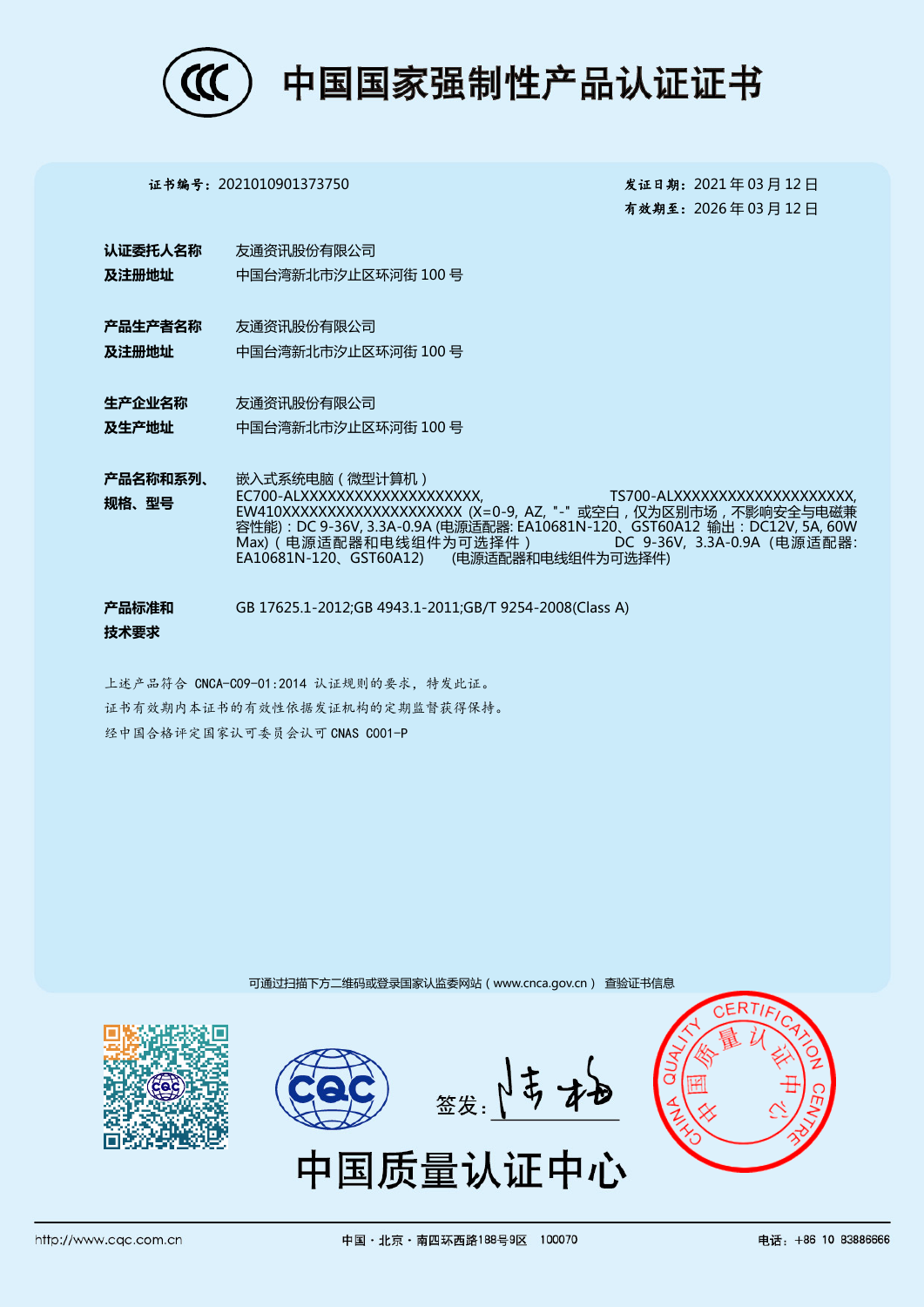

证书编号:2021010901373750 发证日期:2021 年 03 月 12 日

有效期至:2026 年 03 月 12 日

- 认证委托人名称 及注册地址 友通资讯股份有限公司 中国台湾新北市汐止区环河街 100 号
- 产品生产者名称 及注册地址 友通资讯股份有限公司 中国台湾新北市汐止区环河街 100 号
- 生产企业名称 及生产地址 友通资讯股份有限公司 中国台湾新北市汐止区环河街 100 号
- 产品名称和系列、 规格、型号 嵌入式系统电脑(微型计算机) EC700-ALXXXXXXXXXXXXXXXXXXXX, TS700-ALXXXXXXXXXXXXXXXXXXXX, EW410XXXXXXXXXXXXXXXXXXXX (X=0-9, AZ, "-" 或空白,仅为区别市场,不影响安全与电磁兼 容性能):DC 9-36V, 3.3A-0.9A (电源适配器: EA10681N-120、GST60A12 输出:DC12V, 5A, 60W Max)(电源适配器和电线组件为可选择件) DC 9-36V, 3.3A-0.9A (电源适配器: (电源适配器和电线组件为可选择件)
- 产品标准和 技术要求 GB 17625.1-2012;GB 4943.1-2011;GB/T 9254-2008(Class A)
- 上述产品符合 CNCA-C09-01:2014 认证规则的要求,特发此证。 证书有效期内本证书的有效性依据发证机构的定期监督获得保持。 经中国合格评定国家认可委员会认可 CNAS C001-P

可通过扫描下方二维码或登录国家认监委网站(www.cnca.gov.cn) 查验证书信息